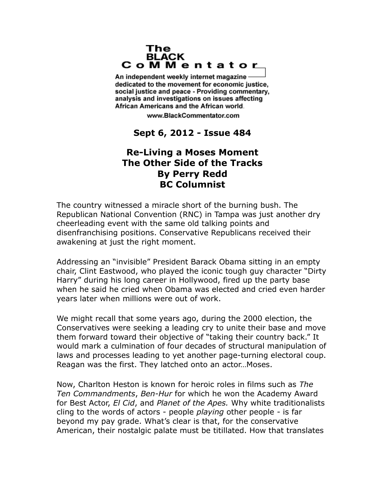## The **BLACK** CoMMentator

An independent weekly internet magazine dedicated to the movement for economic justice. social justice and peace - Providing commentary, analysis and investigations on issues affecting African Americans and the African world.

www.BlackCommentator.com

## **Sept 6, 2012 - Issue 484**

## **Re-Living a Moses Moment The Other Side of the Tracks By Perry Redd BC Columnist**

The country witnessed a miracle short of the burning bush. The Republican National Convention (RNC) in Tampa was just another dry cheerleading event with the same old talking points and disenfranchising positions. Conservative Republicans received their awakening at just the right moment.

Addressing an "invisible" President Barack Obama sitting in an empty chair, Clint Eastwood, who played the iconic tough guy character "Dirty Harry" during his long career in Hollywood, fired up the party base when he said he cried when Obama was elected and cried even harder years later when millions were out of work.

We might recall that some years ago, during the 2000 election, the Conservatives were seeking a leading cry to unite their base and move them forward toward their objective of "taking their country back." It would mark a culmination of four decades of structural manipulation of laws and processes leading to yet another page-turning electoral coup. Reagan was the first. They latched onto an actor…Moses.

Now, Charlton Heston is known for heroic roles in films such as *The Ten Commandments*, *Ben-Hur* for which he won the Academy Award for Best Actor, *El Cid*, and *Planet of the Apes.* Why white traditionalists cling to the words of actors - people *playing* other people - is far beyond my pay grade. What's clear is that, for the conservative American, their nostalgic palate must be titillated. How that translates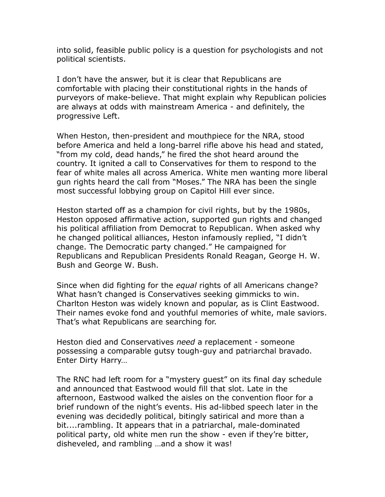into solid, feasible public policy is a question for psychologists and not political scientists.

I don't have the answer, but it is clear that Republicans are comfortable with placing their constitutional rights in the hands of purveyors of make-believe. That might explain why Republican policies are always at odds with mainstream America - and definitely, the progressive Left.

When Heston, then-president and mouthpiece for the NRA, stood before America and held a long-barrel rifle above his head and stated, "from my cold, dead hands," he fired the shot heard around the country. It ignited a call to Conservatives for them to respond to the fear of white males all across America. White men wanting more liberal gun rights heard the call from "Moses." The NRA has been the single most successful lobbying group on Capitol Hill ever since.

Heston started off as a champion for civil rights, but by the 1980s, Heston opposed affirmative action, supported gun rights and changed his political affiliation from Democrat to Republican. When asked why he changed political alliances, Heston infamously replied, "I didn't change. The Democratic party changed." He campaigned for Republicans and Republican Presidents Ronald Reagan, George H. W. Bush and George W. Bush.

Since when did fighting for the *equal* rights of all Americans change? What hasn't changed is Conservatives seeking gimmicks to win. Charlton Heston was widely known and popular, as is Clint Eastwood. Their names evoke fond and youthful memories of white, male saviors. That's what Republicans are searching for.

Heston died and Conservatives *need* a replacement - someone possessing a comparable gutsy tough-guy and patriarchal bravado. Enter Dirty Harry…

The RNC had left room for a "mystery guest" on its final day schedule and announced that Eastwood would fill that slot. Late in the afternoon, Eastwood walked the aisles on the convention floor for a brief rundown of the night's events. His ad-libbed speech later in the evening was decidedly political, bitingly satirical and more than a bit....rambling. It appears that in a patriarchal, male-dominated political party, old white men run the show - even if they're bitter, disheveled, and rambling …and a show it was!